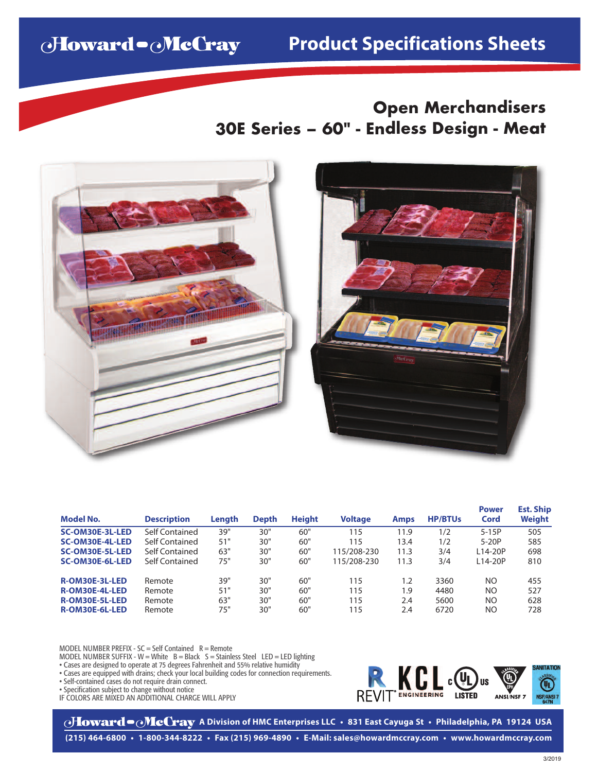Howard OMcCray

# **Product Specifications Sheets**

# **Open Merchandisers 30E Series – 60" - Endless Design - Meat**



| <b>Model No.</b> | <b>Description</b> | Length | <b>Depth</b> | <b>Height</b> | <b>Voltage</b> | <b>Amps</b> | <b>HP/BTUs</b> | <b>Power</b><br>Cord | <b>Est. Ship</b><br>Weight |
|------------------|--------------------|--------|--------------|---------------|----------------|-------------|----------------|----------------------|----------------------------|
| SC-OM30E-3L-LED  | Self Contained     | 39"    | 30"          | 60"           | 115            | 11.9        | 1/2            | $5-15P$              | 505                        |
| SC-OM30E-4L-LED  | Self Contained     | 51"    | 30"          | 60"           | 115            | 13.4        | 1/2            | $5-20P$              | 585                        |
| SC-OM30E-5L-LED  | Self Contained     | 63"    | 30"          | 60"           | 115/208-230    | 11.3        | 3/4            | L14-20P              | 698                        |
| SC-OM30E-6L-LED  | Self Contained     | 75"    | 30"          | 60"           | 115/208-230    | 11.3        | 3/4            | L14-20P              | 810                        |
| R-OM30E-3L-LED   | Remote             | 39"    | 30"          | 60"           | 115            | 1.2         | 3360           | N <sub>O</sub>       | 455                        |
| R-OM30E-4L-LED   | Remote             | 51"    | 30"          | 60"           | 115            | 1.9         | 4480           | N <sub>O</sub>       | 527                        |
| R-OM30E-5L-LED   | Remote             | 63"    | 30"          | 60"           | 115            | 2.4         | 5600           | N <sub>O</sub>       | 628                        |
| R-OM30E-6L-LED   | Remote             | 75"    | 30"          | 60"           | 115            | 2.4         | 6720           | NO.                  | 728                        |

MODEL NUMBER PREFIX -  $SC = Self$  Contained  $R =$  Remote

MODEL NUMBER SUFFIX - W = White B = Black S = Stainless Steel LED = LED lighting

• Cases are designed to operate at 75 degrees Fahrenheit and 55% relative humidity

• Cases are equipped with drains; check your local building codes for connection requirements.

• Self-contained cases do not require drain connect.

• Specification subject to change without notice

IF COLORS ARE MIXED AN ADDITIONAL CHARGE WILL APPLY



**A Division of HMC Enterprises LLC • 831 East Cayuga St • Philadelphia, PA 19124 USA**

**(215) 464-6800 • 1-800-344-8222 • Fax (215) 969-4890 • E-Mail: sales@howardmccray.com • www.howardmccray.com**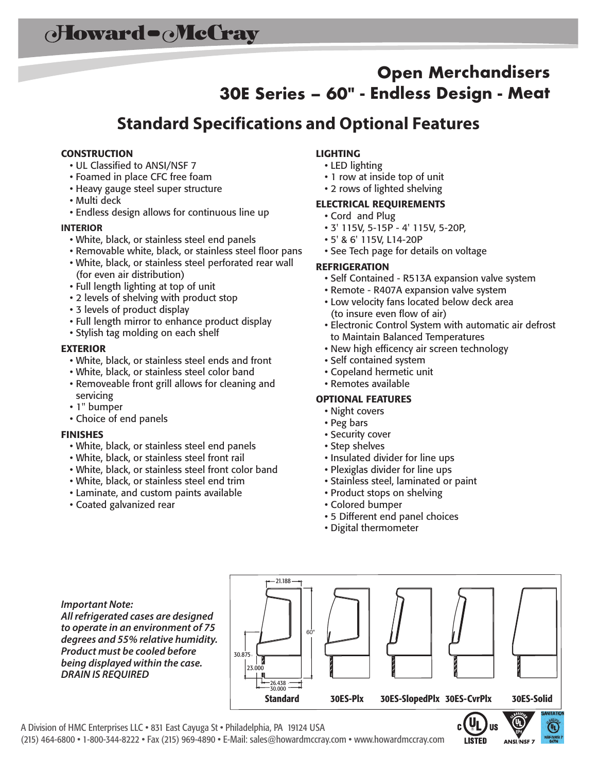# **Open Merchandisers 30E Series – 60" - Endless Design - Meat**

# **Standard Specifications and Optional Features**

### **CONSTRUCTION**

- UL Classified to ANSI/NSF 7
- Foamed in place CFC free foam
- Heavy gauge steel super structure
- Multi deck
- Endless design allows for continuous line up

#### **INTERIOR**

- White, black, or stainless steel end panels
- Removable white, black, or stainless steel floor pans
- White, black, or stainless steel perforated rear wall (for even air distribution)
- Full length lighting at top of unit
- 2 levels of shelving with product stop
- 3 levels of product display
- Full length mirror to enhance product display
- Stylish tag molding on each shelf

#### **EXTERIOR**

- White, black, or stainless steel ends and front
- White, black, or stainless steel color band
- Removeable front grill allows for cleaning and servicing
- 1" bumper
- Choice of end panels

### **FINISHES**

- White, black, or stainless steel end panels
- White, black, or stainless steel front rail
- White, black, or stainless steel front color band
- White, black, or stainless steel end trim
- Laminate, and custom paints available
- Coated galvanized rear

### **LIGHTING**

- LED lighting
- 1 row at inside top of unit
- 2 rows of lighted shelving

### **ELECTRICAL REQUIREMENTS**

- Cord and Plug
- 3' 115V, 5-15P 4' 115V, 5-20P,
- 5' & 6' 115V, L14-20P
- See Tech page for details on voltage

#### **REFRIGERATION**

- Self Contained R513A expansion valve system
- Remote R407A expansion valve system
- Low velocity fans located below deck area (to insure even flow of air)
- Electronic Control System with automatic air defrost to Maintain Balanced Temperatures
- New high efficency air screen technology
- Self contained system
- Copeland hermetic unit
- Remotes available

### **OPTIONAL FEATURES**

- Night covers
- Peg bars
- Security cover
- Step shelves
- Insulated divider for line ups
- Plexiglas divider for line ups
- Stainless steel, laminated or paint
- Product stops on shelving
- Colored bumper
- 5 Different end panel choices
- Digital thermometer

#### *Important Note:*

*All refrigerated cases are designed to operate in an environment of 75 degrees and 55% relative humidity. Product must be cooled before being displayed within the case. DRAIN IS REQUIRED*



**IIS**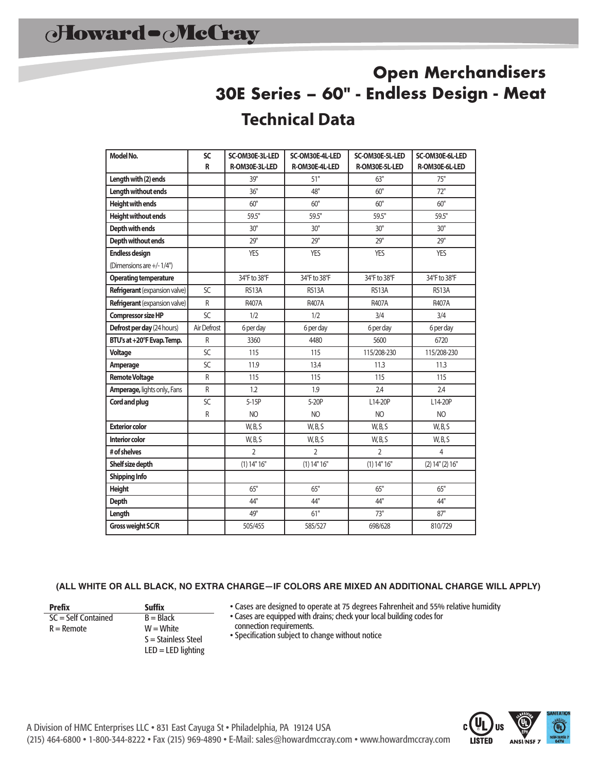# **Technical Data Open Merchandisers 30E Series – 60" - Endless Design - Meat**

| <b>Model No.</b>                     | <b>SC</b><br>R | SC-OM30E-3L-LED<br>R-OM30E-3L-LED | SC-OM30E-4L-LED<br>R-OM30E-4L-LED | SC-OM30E-5L-LED<br>R-OM30E-5L-LED | SC-OM30E-6L-LED<br>R-OM30E-6L-LED |  |
|--------------------------------------|----------------|-----------------------------------|-----------------------------------|-----------------------------------|-----------------------------------|--|
| Length with (2) ends                 |                | 39"                               | 51"                               | 63"                               | 75"                               |  |
| Length without ends                  |                | 36"                               | 48"                               | 60"                               | 72"                               |  |
| <b>Height with ends</b>              |                | 60"                               | 60"                               | 60"                               | 60"                               |  |
| <b>Height without ends</b>           |                | 59.5"                             | 59.5"                             | 59.5"                             | 59.5"                             |  |
| Depth with ends                      |                | 30"                               | 30"                               | 30"                               | 30"                               |  |
| Depth without ends                   |                | 29"                               | 29"                               | 29"                               | 29"                               |  |
| <b>Endless design</b>                |                | <b>YES</b>                        | <b>YES</b>                        | <b>YES</b>                        | <b>YES</b>                        |  |
| (Dimensions are +/-1/4")             |                |                                   |                                   |                                   |                                   |  |
| <b>Operating temperature</b>         |                | 34°F to 38°F                      | 34°F to 38°F                      | 34°F to 38°F                      | 34°F to 38°F                      |  |
| <b>Refrigerant</b> (expansion valve) | <b>SC</b>      | <b>R513A</b>                      | <b>R513A</b>                      | <b>R513A</b>                      | <b>R513A</b>                      |  |
| <b>Refrigerant</b> (expansion valve) | $\mathsf{R}$   | <b>R407A</b>                      | <b>R407A</b>                      | <b>R407A</b>                      | <b>R407A</b>                      |  |
| <b>Compressor size HP</b>            | SC             | 1/2                               | 1/2                               | 3/4                               | 3/4                               |  |
| Defrost per day (24 hours)           | Air Defrost    | 6 per day                         | 6 per day                         | 6 per day                         | 6 per day                         |  |
| BTU's at +20°F Evap. Temp.           | $\mathsf R$    | 3360                              | 4480                              | 5600                              | 6720                              |  |
| <b>Voltage</b>                       | SC             | 115                               | 115                               | 115/208-230                       | 115/208-230                       |  |
| Amperage                             | SC             | 11.9                              | 13.4                              | 11.3                              | 11.3                              |  |
| <b>Remote Voltage</b>                | $\mathsf R$    | 115                               | 115                               | 115                               | 115                               |  |
| Amperage, lights only., Fans         | $\mathsf{R}$   | 1.2                               | 1.9                               | 2.4                               | 2.4                               |  |
| Cord and plug                        | SC             | $5-15P$                           | 5-20P                             | L14-20P                           | L14-20P                           |  |
|                                      | R              | N <sub>O</sub>                    | NO                                | <b>NO</b>                         | NO                                |  |
| <b>Exterior color</b>                |                | W, B, S                           | W, B, S                           | W, B, S                           | W, B, S                           |  |
| <b>Interior color</b>                |                | W, B, S                           | W, B, S                           | W, B, S                           | W, B, S                           |  |
| # of shelves                         |                | $\mathfrak{D}$                    | $\mathfrak{I}$                    | $\mathfrak{D}$                    | 4                                 |  |
| Shelf size depth                     |                | $(1)$ 14" 16"                     | (1) 14" 16"                       | (1) 14" 16"                       | $(2)$ 14" $(2)$ 16"               |  |
| <b>Shipping Info</b>                 |                |                                   |                                   |                                   |                                   |  |
| <b>Height</b>                        |                | 65"                               | 65"                               | 65"                               | 65"                               |  |
| <b>Depth</b>                         |                | 44"                               | 44"                               | 44"                               | 44"                               |  |
| Length                               |                | 49"                               | 61"                               | 73"                               | 87"                               |  |
| <b>Gross weight SC/R</b>             |                | 505/455                           | 585/527                           | 698/628                           | 810/729                           |  |

#### **(ALL WHITE OR ALL BLACK, NO EXTRA CHARGE—IF COLORS ARE MIXED AN ADDITIONAL CHARGE WILL APPLY)**

**Prefix Suffix**  $SC = Self Contained$   $B = Black$  $R =$ Remote W = White

- 
- S = Stainless Steel  $LED = LED$  lighting
- Cases are designed to operate at 75 degrees Fahrenheit and 55% relative humidity
- Cases are equipped with drains; check your local building codes for connection requirements.
- Specification subject to change without notice